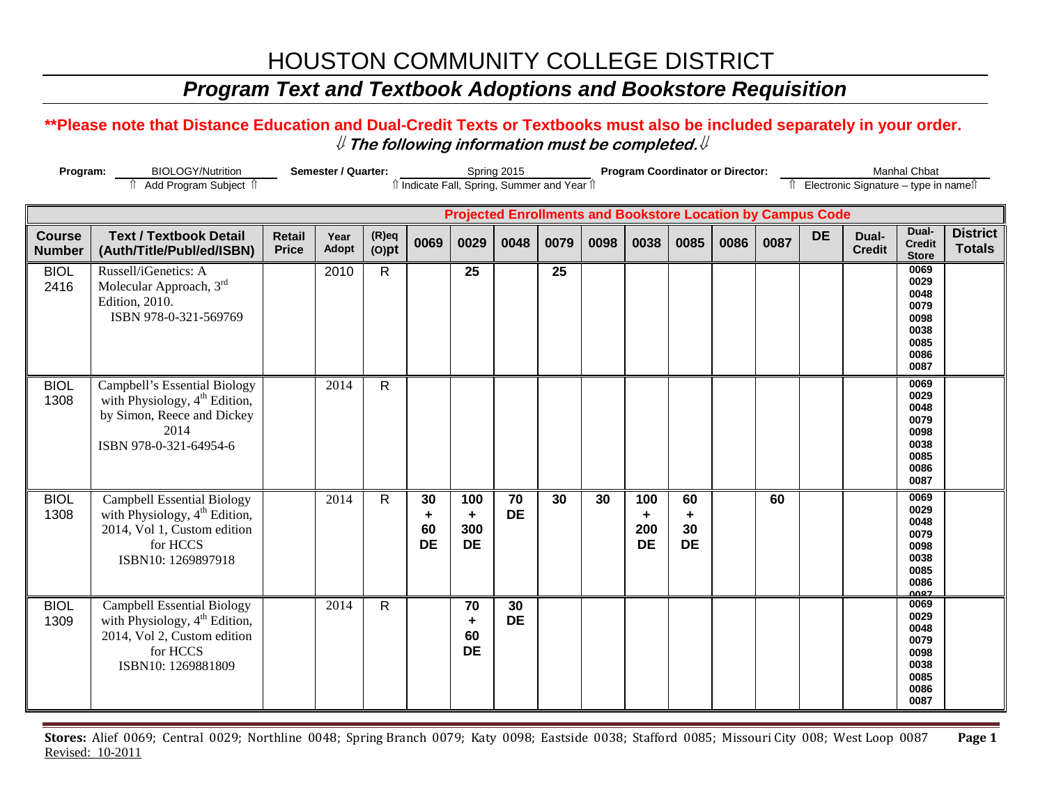### *Program Text and Textbook Adoptions and Bookstore Requisition*

#### **\*\*Please note that Distance Education and Dual-Credit Texts or Textbooks must also be included separately in your order.**  ⇓ **The following information must be completed.**⇓

| Program:                       | <b>BIOLOGY/Nutrition</b>                                                                                                                        |                               | <b>Semester / Quarter:</b> |                      |                            |                                                 | Spring 2015     |      |      | <b>Program Coordinator or Director:</b> |                            |      |                                                                    |           |                                          | <b>Manhal Chbat</b>                                                         |                                  |
|--------------------------------|-------------------------------------------------------------------------------------------------------------------------------------------------|-------------------------------|----------------------------|----------------------|----------------------------|-------------------------------------------------|-----------------|------|------|-----------------------------------------|----------------------------|------|--------------------------------------------------------------------|-----------|------------------------------------------|-----------------------------------------------------------------------------|----------------------------------|
|                                | î Add Program Subject î                                                                                                                         |                               |                            |                      |                            | îl Indicate Fall, Spring, Summer and Year îl    |                 |      |      |                                         |                            |      |                                                                    |           | Îl Electronic Signature - type in nameîl |                                                                             |                                  |
|                                |                                                                                                                                                 |                               |                            |                      |                            |                                                 |                 |      |      |                                         |                            |      | <b>Projected Enrollments and Bookstore Location by Campus Code</b> |           |                                          |                                                                             |                                  |
| <b>Course</b><br><b>Number</b> | <b>Text / Textbook Detail</b><br>(Auth/Title/Publ/ed/ISBN)                                                                                      | <b>Retail</b><br><b>Price</b> | Year<br>Adopt              | $(R)$ eq<br>$(O)$ pt | 0069                       | 0029                                            | 0048            | 0079 | 0098 | 0038                                    | 0085                       | 0086 | 0087                                                               | <b>DE</b> | Dual-<br><b>Credit</b>                   | Dual-<br><b>Credit</b><br><b>Store</b>                                      | <b>District</b><br><b>Totals</b> |
| <b>BIOL</b><br>2416            | Russell/iGenetics: A<br>Molecular Approach, 3rd<br>Edition, 2010.<br>ISBN 978-0-321-569769                                                      |                               | 2010                       | $\mathsf{R}$         |                            | 25                                              |                 | 25   |      |                                         |                            |      |                                                                    |           |                                          | 0069<br>0029<br>0048<br>0079<br>0098<br>0038<br>0085<br>0086<br>0087        |                                  |
| <b>BIOL</b><br>1308            | Campbell's Essential Biology<br>with Physiology, 4 <sup>th</sup> Edition,<br>by Simon, Reece and Dickey<br>2014<br>ISBN 978-0-321-64954-6       |                               | 2014                       | $\mathsf{R}$         |                            |                                                 |                 |      |      |                                         |                            |      |                                                                    |           |                                          | 0069<br>0029<br>0048<br>0079<br>0098<br>0038<br>0085<br>0086<br>0087        |                                  |
| <b>BIOL</b><br>1308            | <b>Campbell Essential Biology</b><br>with Physiology, 4 <sup>th</sup> Edition,<br>2014, Vol 1, Custom edition<br>for HCCS<br>ISBN10: 1269897918 |                               | 2014                       | $\mathsf{R}$         | 30<br>٠<br>60<br><b>DE</b> | 100<br>$\ddot{\phantom{1}}$<br>300<br><b>DE</b> | 70<br><b>DE</b> | 30   | 30   | 100<br>٠<br>200<br><b>DE</b>            | 60<br>٠<br>30<br><b>DE</b> |      | 60                                                                 |           |                                          | 0069<br>0029<br>0048<br>0079<br>0098<br>0038<br>0085<br>0086<br><u>0007</u> |                                  |
| <b>BIOL</b><br>1309            | <b>Campbell Essential Biology</b><br>with Physiology, 4 <sup>th</sup> Edition,<br>2014, Vol 2, Custom edition<br>for HCCS<br>ISBN10: 1269881809 |                               | 2014                       | $\mathsf{R}$         |                            | 70<br>$\ddot{}$<br>60<br><b>DE</b>              | 30<br><b>DE</b> |      |      |                                         |                            |      |                                                                    |           |                                          | 0069<br>0029<br>0048<br>0079<br>0098<br>0038<br>0085<br>0086<br>0087        |                                  |

**Stores:** Alief 0069; Central 0029; Northline 0048; Spring Branch 0079; Katy 0098; Eastside 0038; Stafford 0085; Missouri City 008; West Loop 0087 **Page 1** Revised: 10-2011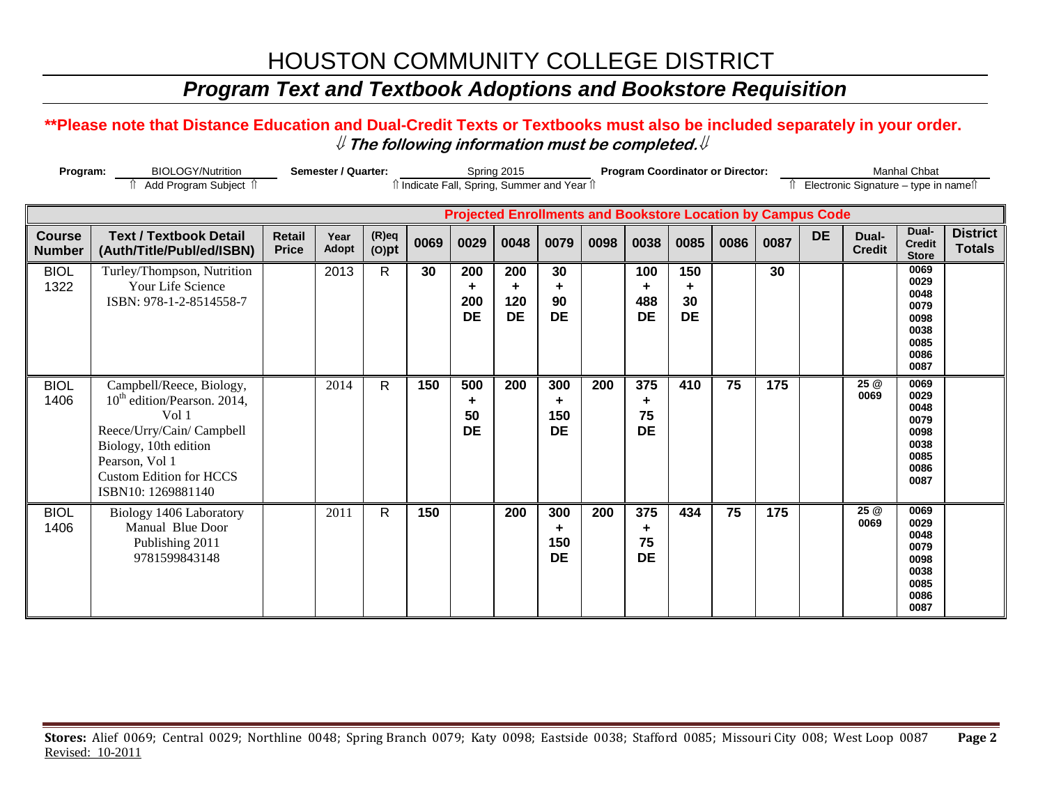### *Program Text and Textbook Adoptions and Bookstore Requisition*

#### **\*\*Please note that Distance Education and Dual-Credit Texts or Textbooks must also be included separately in your order.**  ⇓ **The following information must be completed.**⇓

| Program:                       | <b>BIOLOGY/Nutrition</b><br>Add Program Subject 1                                                                                                                                                            |                               | Semester / Quarter: |                      |      | îl Indicate Fall, Spring, Summer and Year îl | Spring 2015                  |                              |      |                             | <b>Program Coordinator or Director:</b> |      |      |                                                                    | Îl Electronic Signature - type in nameîl | <b>Manhal Chbat</b>                                                  |                                  |
|--------------------------------|--------------------------------------------------------------------------------------------------------------------------------------------------------------------------------------------------------------|-------------------------------|---------------------|----------------------|------|----------------------------------------------|------------------------------|------------------------------|------|-----------------------------|-----------------------------------------|------|------|--------------------------------------------------------------------|------------------------------------------|----------------------------------------------------------------------|----------------------------------|
|                                |                                                                                                                                                                                                              |                               |                     |                      |      |                                              |                              |                              |      |                             |                                         |      |      | <b>Projected Enrollments and Bookstore Location by Campus Code</b> |                                          |                                                                      |                                  |
| <b>Course</b><br><b>Number</b> | <b>Text / Textbook Detail</b><br>(Auth/Title/Publ/ed/ISBN)                                                                                                                                                   | <b>Retail</b><br><b>Price</b> | Year<br>Adopt       | $(R)$ eq<br>$(O)$ pt | 0069 | 0029                                         | 0048                         | 0079                         | 0098 | 0038                        | 0085                                    | 0086 | 0087 | <b>DE</b>                                                          | Dual-<br><b>Credit</b>                   | Dual-<br><b>Credit</b><br><b>Store</b>                               | <b>District</b><br><b>Totals</b> |
| <b>BIOL</b><br>1322            | Turley/Thompson, Nutrition<br>Your Life Science<br>ISBN: 978-1-2-8514558-7                                                                                                                                   |                               | 2013                | $\mathsf{R}$         | 30   | 200<br>٠<br>200<br><b>DE</b>                 | 200<br>÷<br>120<br><b>DE</b> | 30<br>٠<br>90<br><b>DE</b>   |      | 100<br>488<br><b>DE</b>     | 150<br>٠<br>30<br><b>DE</b>             |      | 30   |                                                                    |                                          | 0069<br>0029<br>0048<br>0079<br>0098<br>0038<br>0085<br>0086<br>0087 |                                  |
| <b>BIOL</b><br>1406            | Campbell/Reece, Biology,<br>10 <sup>th</sup> edition/Pearson. 2014,<br>Vol 1<br>Reece/Urry/Cain/ Campbell<br>Biology, 10th edition<br>Pearson, Vol 1<br><b>Custom Edition for HCCS</b><br>ISBN10: 1269881140 |                               | 2014                | $\mathsf{R}$         | 150  | 500<br>÷.<br>50<br><b>DE</b>                 | 200                          | 300<br>÷<br>150<br><b>DE</b> | 200  | 375<br>٠<br>75<br><b>DE</b> | 410                                     | 75   | 175  |                                                                    | 25 @<br>0069                             | 0069<br>0029<br>0048<br>0079<br>0098<br>0038<br>0085<br>0086<br>0087 |                                  |
| <b>BIOL</b><br>1406            | Biology 1406 Laboratory<br>Manual Blue Door<br>Publishing 2011<br>9781599843148                                                                                                                              |                               | 2011                | $\mathsf{R}$         | 150  |                                              | 200                          | 300<br>÷<br>150<br><b>DE</b> | 200  | 375<br>÷<br>75<br><b>DE</b> | 434                                     | 75   | 175  |                                                                    | 25@<br>0069                              | 0069<br>0029<br>0048<br>0079<br>0098<br>0038<br>0085<br>0086<br>0087 |                                  |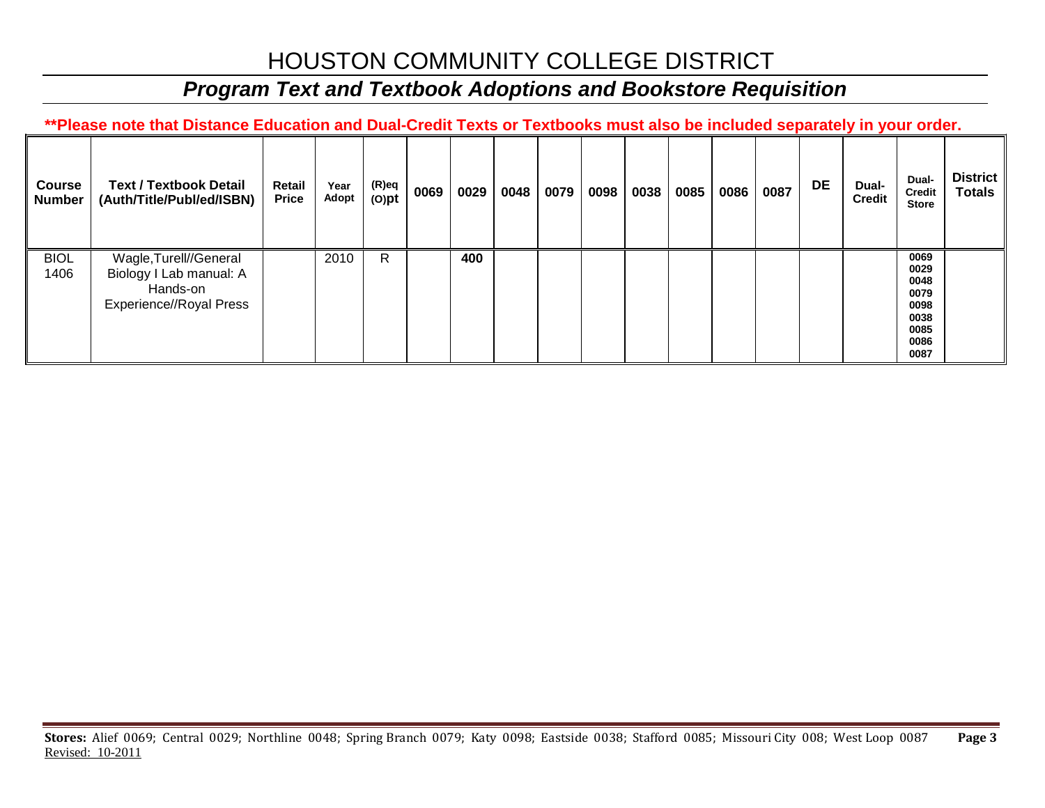### *Program Text and Textbook Adoptions and Bookstore Requisition*

**\*\*Please note that Distance Education and Dual-Credit Texts or Textbooks must also be included separately in your order.** 

| <b>Course</b><br><b>Number</b> | <b>Text / Textbook Detail</b><br>(Auth/Title/Publ/ed/ISBN)                                      | Retail<br><b>Price</b> | Year<br>Adopt | (R)eq<br>$(O)$ pt | 0069 | 0029 | 0048 | 0079 | 0098 | 0038 | 0085 | 0086 | 0087 | <b>DE</b> | Dual-<br><b>Credit</b> | Dual-<br><b>Credit</b><br><b>Store</b>                               | <b>District</b><br><b>Totals</b> |
|--------------------------------|-------------------------------------------------------------------------------------------------|------------------------|---------------|-------------------|------|------|------|------|------|------|------|------|------|-----------|------------------------|----------------------------------------------------------------------|----------------------------------|
| <b>BIOL</b><br>1406            | Wagle, Turell//General<br>Biology I Lab manual: A<br>Hands-on<br><b>Experience//Royal Press</b> |                        | 2010          | R                 |      | 400  |      |      |      |      |      |      |      |           |                        | 0069<br>0029<br>0048<br>0079<br>0098<br>0038<br>0085<br>0086<br>0087 |                                  |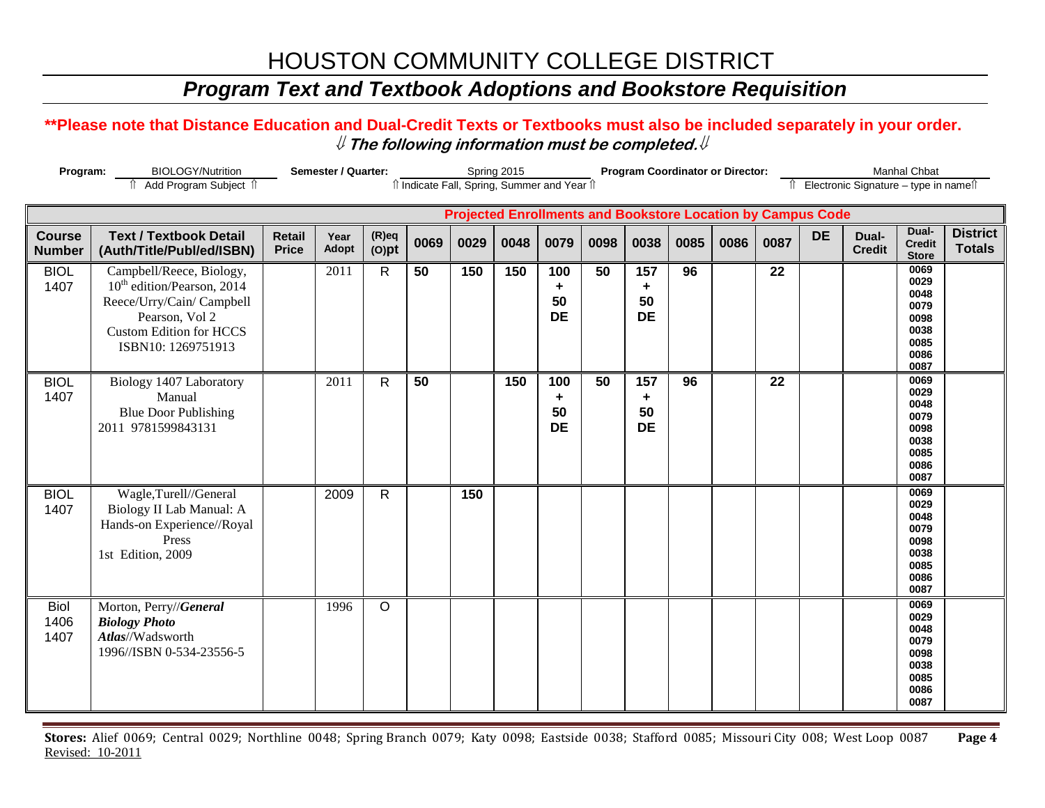### *Program Text and Textbook Adoptions and Bookstore Requisition*

#### **\*\*Please note that Distance Education and Dual-Credit Texts or Textbooks must also be included separately in your order.**  ⇓ **The following information must be completed.**⇓

| Program:                       | <b>BIOLOGY/Nutrition</b>                                                                                                                                                  |                               | Semester / Quarter: |                      |                                              |      | Spring 2015 |                                                |      | <b>Program Coordinator or Director:</b>                            |      |      |      |           |                                          | Manhal Chbat                                                         |                                  |
|--------------------------------|---------------------------------------------------------------------------------------------------------------------------------------------------------------------------|-------------------------------|---------------------|----------------------|----------------------------------------------|------|-------------|------------------------------------------------|------|--------------------------------------------------------------------|------|------|------|-----------|------------------------------------------|----------------------------------------------------------------------|----------------------------------|
|                                | n Add Program Subject n                                                                                                                                                   |                               |                     |                      | îl Indicate Fall, Spring, Summer and Year îl |      |             |                                                |      |                                                                    |      |      |      |           | Îl Electronic Signature - type in nameîl |                                                                      |                                  |
|                                |                                                                                                                                                                           |                               |                     |                      |                                              |      |             |                                                |      | <b>Projected Enrollments and Bookstore Location by Campus Code</b> |      |      |      |           |                                          |                                                                      |                                  |
| <b>Course</b><br><b>Number</b> | <b>Text / Textbook Detail</b><br>(Auth/Title/Publ/ed/ISBN)                                                                                                                | <b>Retail</b><br><b>Price</b> | Year<br>Adopt       | $(R)$ eq<br>$(O)$ pt | 0069                                         | 0029 | 0048        | 0079                                           | 0098 | 0038                                                               | 0085 | 0086 | 0087 | <b>DE</b> | Dual-<br><b>Credit</b>                   | Dual-<br><b>Credit</b><br><b>Store</b>                               | <b>District</b><br><b>Totals</b> |
| <b>BIOL</b><br>1407            | Campbell/Reece, Biology,<br>10 <sup>th</sup> edition/Pearson, 2014<br>Reece/Urry/Cain/ Campbell<br>Pearson, Vol 2<br><b>Custom Edition for HCCS</b><br>ISBN10: 1269751913 |                               | 2011                | $\mathsf{R}$         | 50                                           | 150  | 150         | 100<br>$\ddot{\phantom{1}}$<br>50<br><b>DE</b> | 50   | 157<br>٠<br>50<br><b>DE</b>                                        | 96   |      | 22   |           |                                          | 0069<br>0029<br>0048<br>0079<br>0098<br>0038<br>0085<br>0086<br>0087 |                                  |
| <b>BIOL</b><br>1407            | Biology 1407 Laboratory<br>Manual<br><b>Blue Door Publishing</b><br>2011 9781599843131                                                                                    |                               | 2011                | $\mathsf{R}$         | $\overline{50}$                              |      | 150         | 100<br>٠<br>50<br><b>DE</b>                    | 50   | 157<br>٠<br>50<br><b>DE</b>                                        | 96   |      | 22   |           |                                          | 0069<br>0029<br>0048<br>0079<br>0098<br>0038<br>0085<br>0086<br>0087 |                                  |
| <b>BIOL</b><br>1407            | Wagle,Turell//General<br>Biology II Lab Manual: A<br>Hands-on Experience//Royal<br>Press<br>1st Edition, 2009                                                             |                               | 2009                | $\mathsf{R}$         |                                              | 150  |             |                                                |      |                                                                    |      |      |      |           |                                          | 0069<br>0029<br>0048<br>0079<br>0098<br>0038<br>0085<br>0086<br>0087 |                                  |
| <b>Biol</b><br>1406<br>1407    | Morton, Perry//General<br><b>Biology Photo</b><br>Atlas//Wadsworth<br>1996//ISBN 0-534-23556-5                                                                            |                               | 1996                | $\circ$              |                                              |      |             |                                                |      |                                                                    |      |      |      |           |                                          | 0069<br>0029<br>0048<br>0079<br>0098<br>0038<br>0085<br>0086<br>0087 |                                  |

**Stores:** Alief 0069; Central 0029; Northline 0048; Spring Branch 0079; Katy 0098; Eastside 0038; Stafford 0085; Missouri City 008; West Loop 0087 **Page 4** Revised: 10-2011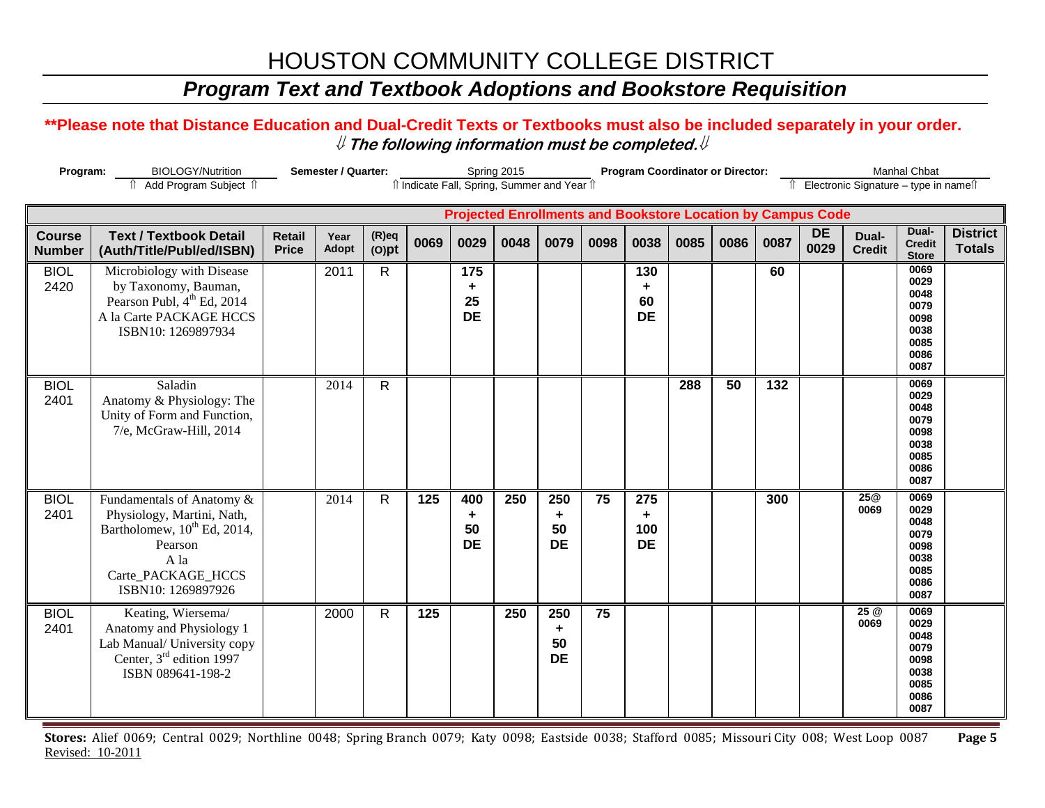### *Program Text and Textbook Adoptions and Bookstore Requisition*

#### **\*\*Please note that Distance Education and Dual-Credit Texts or Textbooks must also be included separately in your order.**  ⇓ **The following information must be completed.**⇓

| Program:                       | <b>BIOLOGY/Nutrition</b>                                                                                                                                          |                               | Semester / Quarter: |                      |                                              |                             | Spring 2015 |                                                |      |                              | <b>Program Coordinator or Director:</b> |      |      |                                                                    |                                        | Manhal Chbat                                                         |                                  |
|--------------------------------|-------------------------------------------------------------------------------------------------------------------------------------------------------------------|-------------------------------|---------------------|----------------------|----------------------------------------------|-----------------------------|-------------|------------------------------------------------|------|------------------------------|-----------------------------------------|------|------|--------------------------------------------------------------------|----------------------------------------|----------------------------------------------------------------------|----------------------------------|
|                                | fî Add Program Subject fî                                                                                                                                         |                               |                     |                      | îl Indicate Fall, Spring, Summer and Year îl |                             |             |                                                |      |                              |                                         |      |      |                                                                    | î Electronic Signature - type in nameî |                                                                      |                                  |
|                                |                                                                                                                                                                   |                               |                     |                      |                                              |                             |             |                                                |      |                              |                                         |      |      | <b>Projected Enrollments and Bookstore Location by Campus Code</b> |                                        |                                                                      |                                  |
| <b>Course</b><br><b>Number</b> | <b>Text / Textbook Detail</b><br>(Auth/Title/Publ/ed/ISBN)                                                                                                        | <b>Retail</b><br><b>Price</b> | Year<br>Adopt       | $(R)$ eq<br>$(O)$ pt | 0069                                         | 0029                        | 0048        | 0079                                           | 0098 | 0038                         | 0085                                    | 0086 | 0087 | <b>DE</b><br>0029                                                  | Dual-<br><b>Credit</b>                 | Dual-<br><b>Credit</b><br><b>Store</b>                               | <b>District</b><br><b>Totals</b> |
| <b>BIOL</b><br>2420            | Microbiology with Disease<br>by Taxonomy, Bauman,<br>Pearson Publ, 4 <sup>th</sup> Ed, 2014<br>A la Carte PACKAGE HCCS<br>ISBN10: 1269897934                      |                               | 2011                | $\mathsf{R}$         |                                              | 175<br>٠<br>25<br><b>DE</b> |             |                                                |      | 130<br>٠<br>60<br><b>DE</b>  |                                         |      | 60   |                                                                    |                                        | 0069<br>0029<br>0048<br>0079<br>0098<br>0038<br>0085<br>0086<br>0087 |                                  |
| <b>BIOL</b><br>2401            | Saladin<br>Anatomy & Physiology: The<br>Unity of Form and Function,<br>7/e, McGraw-Hill, 2014                                                                     |                               | 2014                | $\mathsf{R}$         |                                              |                             |             |                                                |      |                              | 288                                     | 50   | 132  |                                                                    |                                        | 0069<br>0029<br>0048<br>0079<br>0098<br>0038<br>0085<br>0086<br>0087 |                                  |
| <b>BIOL</b><br>2401            | Fundamentals of Anatomy &<br>Physiology, Martini, Nath,<br>Bartholomew, 10 <sup>th</sup> Ed, 2014,<br>Pearson<br>A la<br>Carte PACKAGE HCCS<br>ISBN10: 1269897926 |                               | 2014                | $\mathsf{R}$         | 125                                          | 400<br>٠<br>50<br><b>DE</b> | 250         | 250<br>$\ddot{}$<br>50<br><b>DE</b>            | 75   | 275<br>٠<br>100<br><b>DE</b> |                                         |      | 300  |                                                                    | 25@<br>0069                            | 0069<br>0029<br>0048<br>0079<br>0098<br>0038<br>0085<br>0086<br>0087 |                                  |
| <b>BIOL</b><br>2401            | Keating, Wiersema/<br>Anatomy and Physiology 1<br>Lab Manual/ University copy<br>Center, 3 <sup>rd</sup> edition 1997<br>ISBN 089641-198-2                        |                               | 2000                | $\mathsf{R}$         | 125                                          |                             | 250         | 250<br>$\ddot{\phantom{1}}$<br>50<br><b>DE</b> | 75   |                              |                                         |      |      |                                                                    | 25 @<br>0069                           | 0069<br>0029<br>0048<br>0079<br>0098<br>0038<br>0085<br>0086<br>0087 |                                  |

**Stores:** Alief 0069; Central 0029; Northline 0048; Spring Branch 0079; Katy 0098; Eastside 0038; Stafford 0085; Missouri City 008; West Loop 0087 **Page 5** Revised: 10-2011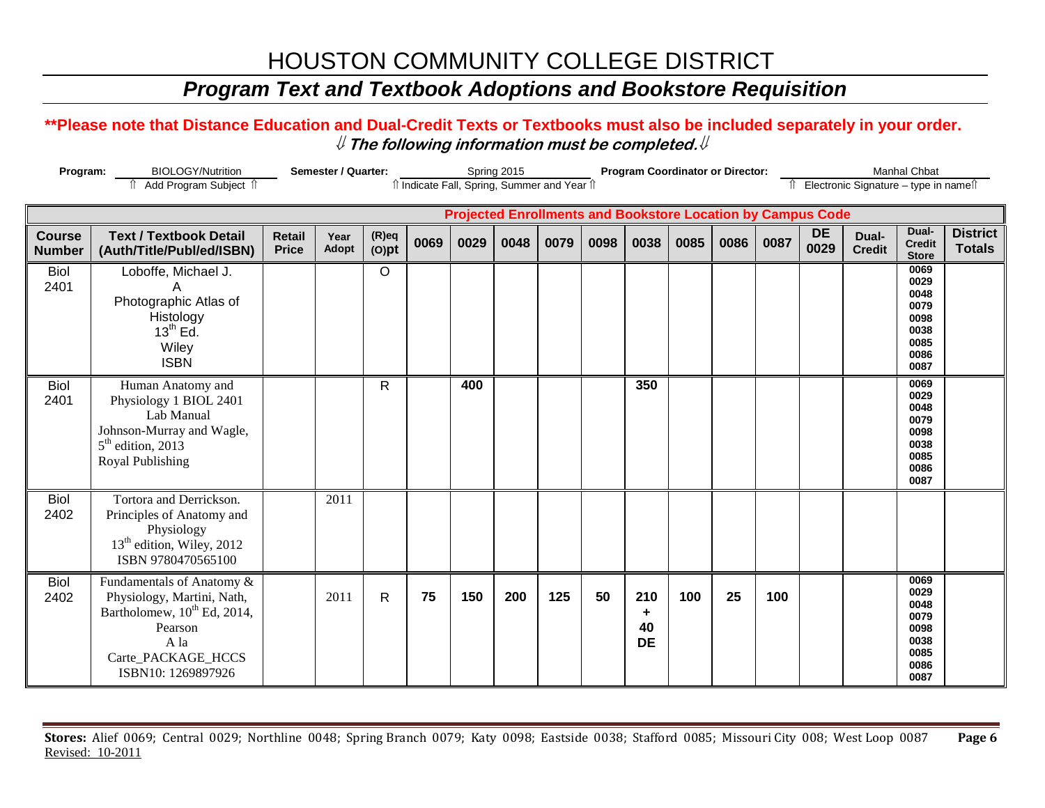### *Program Text and Textbook Adoptions and Bookstore Requisition*

#### **\*\*Please note that Distance Education and Dual-Credit Texts or Textbooks must also be included separately in your order.**  ⇓ **The following information must be completed.**⇓

| Program:<br><b>BIOLOGY/Nutrition</b> |                                                                                                                                                                   |                               | Semester / Quarter: |                      |      |      | Spring 2015                                  |                                                                    |      |                             | <b>Program Coordinator or Director:</b> |      |      |                                       |                        | Manhal Chbat                                                         |                                  |
|--------------------------------------|-------------------------------------------------------------------------------------------------------------------------------------------------------------------|-------------------------------|---------------------|----------------------|------|------|----------------------------------------------|--------------------------------------------------------------------|------|-----------------------------|-----------------------------------------|------|------|---------------------------------------|------------------------|----------------------------------------------------------------------|----------------------------------|
|                                      | Add Program Subject 1                                                                                                                                             |                               |                     |                      |      |      | ft Indicate Fall, Spring, Summer and Year ft |                                                                    |      |                             |                                         |      |      | Electronic Signature - type in namell |                        |                                                                      |                                  |
|                                      |                                                                                                                                                                   |                               |                     |                      |      |      |                                              | <b>Projected Enrollments and Bookstore Location by Campus Code</b> |      |                             |                                         |      |      |                                       |                        |                                                                      |                                  |
| <b>Course</b><br><b>Number</b>       | <b>Text / Textbook Detail</b><br>(Auth/Title/Publ/ed/ISBN)                                                                                                        | <b>Retail</b><br><b>Price</b> | Year<br>Adopt       | $(R)$ eq<br>$(O)$ pt | 0069 | 0029 | 0048                                         | 0079                                                               | 0098 | 0038                        | 0085                                    | 0086 | 0087 | <b>DE</b><br>0029                     | Dual-<br><b>Credit</b> | Dual-<br><b>Credit</b><br><b>Store</b>                               | <b>District</b><br><b>Totals</b> |
| <b>Biol</b><br>2401                  | Loboffe, Michael J.<br>Α<br>Photographic Atlas of<br>Histology<br>$13^{th}$ Ed.<br>Wiley<br><b>ISBN</b>                                                           |                               |                     | $\circ$              |      |      |                                              |                                                                    |      |                             |                                         |      |      |                                       |                        | 0069<br>0029<br>0048<br>0079<br>0098<br>0038<br>0085<br>0086<br>0087 |                                  |
| <b>Biol</b><br>2401                  | Human Anatomy and<br>Physiology 1 BIOL 2401<br>Lab Manual<br>Johnson-Murray and Wagle,<br>$5th$ edition, 2013<br>Royal Publishing                                 |                               |                     | R                    |      | 400  |                                              |                                                                    |      | 350                         |                                         |      |      |                                       |                        | 0069<br>0029<br>0048<br>0079<br>0098<br>0038<br>0085<br>0086<br>0087 |                                  |
| <b>Biol</b><br>2402                  | Tortora and Derrickson.<br>Principles of Anatomy and<br>Physiology<br>13 <sup>th</sup> edition, Wiley, 2012<br>ISBN 9780470565100                                 |                               | 2011                |                      |      |      |                                              |                                                                    |      |                             |                                         |      |      |                                       |                        |                                                                      |                                  |
| <b>Biol</b><br>2402                  | Fundamentals of Anatomy &<br>Physiology, Martini, Nath,<br>Bartholomew, 10 <sup>th</sup> Ed, 2014,<br>Pearson<br>A la<br>Carte_PACKAGE_HCCS<br>ISBN10: 1269897926 |                               | 2011                | R                    | 75   | 150  | 200                                          | 125                                                                | 50   | 210<br>÷<br>40<br><b>DE</b> | 100                                     | 25   | 100  |                                       |                        | 0069<br>0029<br>0048<br>0079<br>0098<br>0038<br>0085<br>0086<br>0087 |                                  |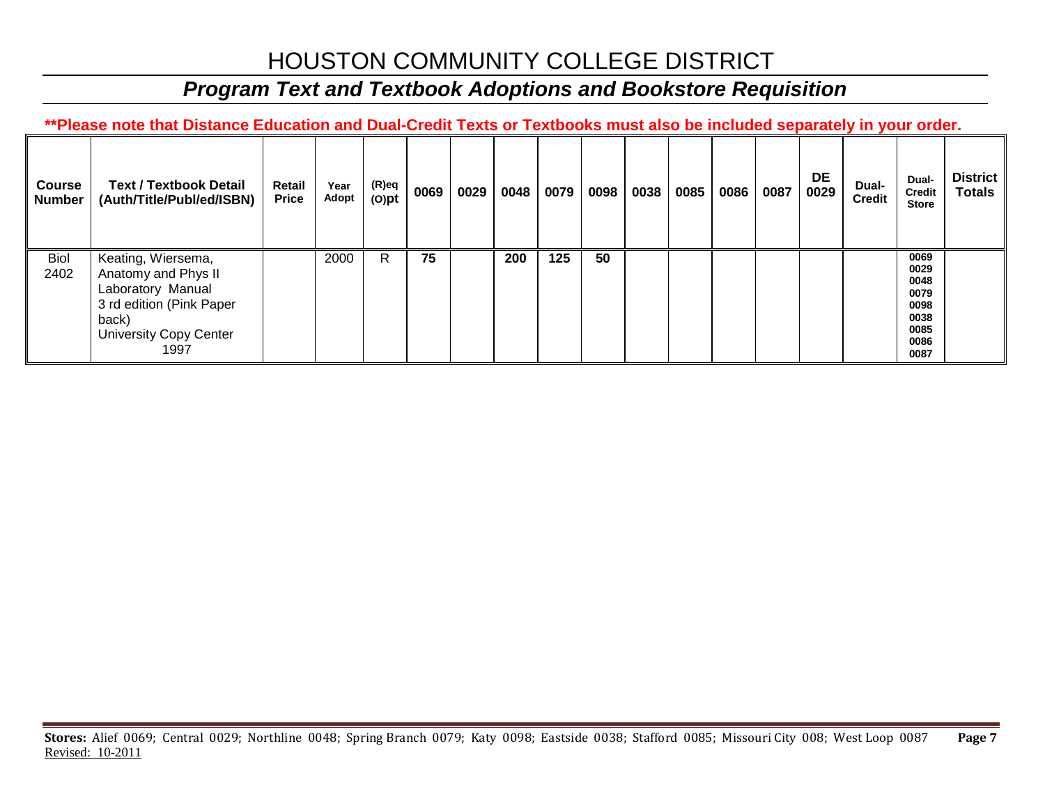### *Program Text and Textbook Adoptions and Bookstore Requisition*

**\*\*Please note that Distance Education and Dual-Credit Texts or Textbooks must also be included separately in your order.** 

| <b>Course</b><br><b>Number</b> | <b>Text / Textbook Detail</b><br>(Auth/Title/Publ/ed/ISBN)                                                                                   | Retail<br><b>Price</b> | Year<br>Adopt | (R)eq<br>$(O)$ pt | 0069 | 0029 | 0048 | 0079 | 0098 | 0038 | 0085 | 0086 | 0087 | DE<br>0029 | Dual-<br><b>Credit</b> | Dual-<br><b>Credit</b><br><b>Store</b>                               | <b>District</b><br><b>Totals</b> |
|--------------------------------|----------------------------------------------------------------------------------------------------------------------------------------------|------------------------|---------------|-------------------|------|------|------|------|------|------|------|------|------|------------|------------------------|----------------------------------------------------------------------|----------------------------------|
| <b>Biol</b><br>2402            | Keating, Wiersema,<br>Anatomy and Phys II<br>Laboratory Manual<br>3 rd edition (Pink Paper<br>back)<br><b>University Copy Center</b><br>1997 |                        | 2000          | R                 | 75   |      | 200  | 125  | 50   |      |      |      |      |            |                        | 0069<br>0029<br>0048<br>0079<br>0098<br>0038<br>0085<br>0086<br>0087 |                                  |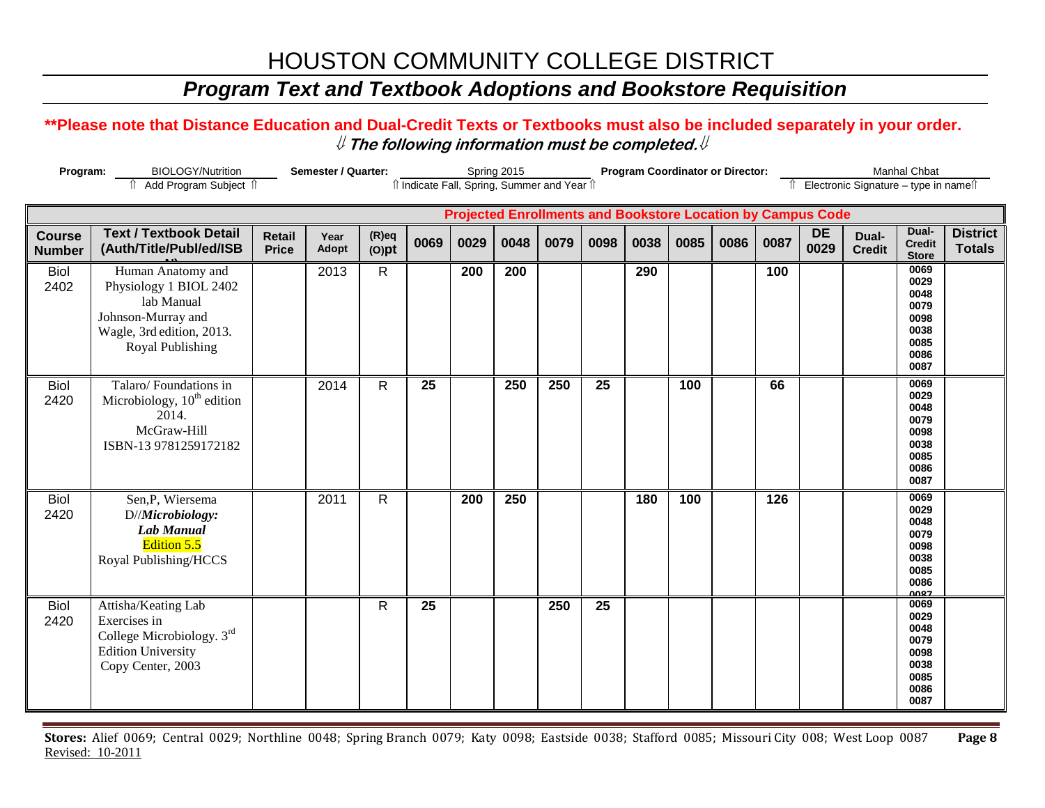### *Program Text and Textbook Adoptions and Bookstore Requisition*

#### **\*\*Please note that Distance Education and Dual-Credit Texts or Textbooks must also be included separately in your order.**  ⇓ **The following information must be completed.**⇓

| Program:                       | <b>BIOLOGY/Nutrition</b>                                                                                                         | Semester / Quarter:    |               |                      | Spring 2015                                  |      |      |      | <b>Program Coordinator or Director:</b> |      |      |      |      | Manhal Chbat                                                       |                                          |                                                                      |                                  |
|--------------------------------|----------------------------------------------------------------------------------------------------------------------------------|------------------------|---------------|----------------------|----------------------------------------------|------|------|------|-----------------------------------------|------|------|------|------|--------------------------------------------------------------------|------------------------------------------|----------------------------------------------------------------------|----------------------------------|
|                                | î Add Program Subject î                                                                                                          |                        |               |                      | îl Indicate Fall, Spring, Summer and Year îl |      |      |      |                                         |      |      |      |      |                                                                    | Îl Electronic Signature - type in nameîl |                                                                      |                                  |
|                                |                                                                                                                                  |                        |               |                      |                                              |      |      |      |                                         |      |      |      |      | <b>Projected Enrollments and Bookstore Location by Campus Code</b> |                                          |                                                                      |                                  |
| <b>Course</b><br><b>Number</b> | <b>Text / Textbook Detail</b><br>(Auth/Title/Publ/ed/ISB                                                                         | Retail<br><b>Price</b> | Year<br>Adopt | $(R)$ eq<br>$(O)$ pt | 0069                                         | 0029 | 0048 | 0079 | 0098                                    | 0038 | 0085 | 0086 | 0087 | <b>DE</b><br>0029                                                  | Dual-<br><b>Credit</b>                   | Dual-<br><b>Credit</b><br><b>Store</b>                               | <b>District</b><br><b>Totals</b> |
| <b>Biol</b><br>2402            | Human Anatomy and<br>Physiology 1 BIOL 2402<br>lab Manual<br>Johnson-Murray and<br>Wagle, 3rd edition, 2013.<br>Royal Publishing |                        | 2013          | $\mathsf{R}$         |                                              | 200  | 200  |      |                                         | 290  |      |      | 100  |                                                                    |                                          | 0069<br>0029<br>0048<br>0079<br>0098<br>0038<br>0085<br>0086<br>0087 |                                  |
| <b>Biol</b><br>2420            | Talaro/Foundations in<br>Microbiology, 10 <sup>th</sup> edition<br>2014.<br>McGraw-Hill<br>ISBN-13 9781259172182                 |                        | 2014          | $\mathsf{R}$         | 25                                           |      | 250  | 250  | $\overline{25}$                         |      | 100  |      | 66   |                                                                    |                                          | 0069<br>0029<br>0048<br>0079<br>0098<br>0038<br>0085<br>0086<br>0087 |                                  |
| <b>Biol</b><br>2420            | Sen, P, Wiersema<br>D//Microbiology:<br><b>Lab Manual</b><br><b>Edition 5.5</b><br>Royal Publishing/HCCS                         |                        | 2011          | $\mathsf{R}$         |                                              | 200  | 250  |      |                                         | 180  | 100  |      | 126  |                                                                    |                                          | 0069<br>0029<br>0048<br>0079<br>0098<br>0038<br>0085<br>0086<br>0087 |                                  |
| <b>Biol</b><br>2420            | Attisha/Keating Lab<br>Exercises in<br>College Microbiology. 3rd<br><b>Edition University</b><br>Copy Center, 2003               |                        |               | $\mathsf{R}$         | 25                                           |      |      | 250  | 25                                      |      |      |      |      |                                                                    |                                          | 0069<br>0029<br>0048<br>0079<br>0098<br>0038<br>0085<br>0086<br>0087 |                                  |

**Stores:** Alief 0069; Central 0029; Northline 0048; Spring Branch 0079; Katy 0098; Eastside 0038; Stafford 0085; Missouri City 008; West Loop 0087 **Page 8** Revised: 10-2011